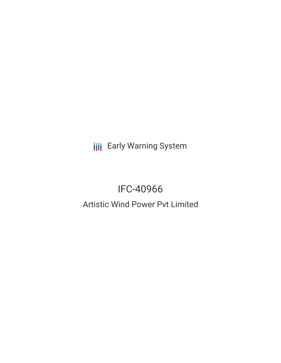**III** Early Warning System

## IFC-40966 Artistic Wind Power Pvt Limited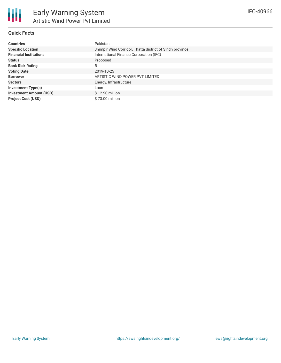

### **Quick Facts**

| <b>Countries</b>               | Pakistan                                                 |
|--------------------------------|----------------------------------------------------------|
| <b>Specific Location</b>       | Jhimpir Wind Corridor, Thatta district of Sindh province |
| <b>Financial Institutions</b>  | International Finance Corporation (IFC)                  |
| <b>Status</b>                  | Proposed                                                 |
| <b>Bank Risk Rating</b>        | B                                                        |
| <b>Voting Date</b>             | 2019-10-25                                               |
| <b>Borrower</b>                | ARTISTIC WIND POWER PVT LIMITED                          |
| <b>Sectors</b>                 | Energy, Infrastructure                                   |
| <b>Investment Type(s)</b>      | Loan                                                     |
| <b>Investment Amount (USD)</b> | $$12.90$ million                                         |
| <b>Project Cost (USD)</b>      | \$73.00 million                                          |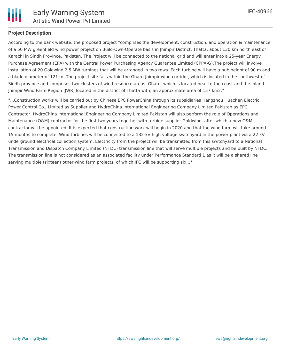

### **Project Description**

According to the bank website, the proposed project "comprises the development, construction, and operation & maintenance of a 50 MW greenfield wind power project on Build-Own-Operate basis in Jhimpir District, Thatta, about 130 km north east of Karachi in Sindh Province, Pakistan. The Project will be connected to the national grid and will enter into a 25-year Energy Purchase Agreement (EPA) with the Central Power Purchasing Agency Guarantee Limited (CPPA-G).The project will involve installation of 20 Goldwind 2.5 MW turbines that will be arranged in two rows. Each turbine will have a hub height of 90 m and a blade diameter of 121 m. The project site falls within the Gharo-Jhimpir wind corridor, which is located in the southwest of Sindh province and comprises two clusters of wind resource areas: Gharo, which is located near to the coast and the inland Jhimpir Wind Farm Region (JWR) located in the district of Thatta with, an approximate area of 157 km2."

"...Construction works will be carried out by Chinese EPC PowerChina through its subsidiaries Hangzhou Huachen Electric Power Control Co., Limited as Supplier and HydroChina International Engineering Company Limited Pakistan as EPC Contractor. HydroChina International Engineering Company Limited Pakistan will also perform the role of Operations and Maintenance (O&M) contractor for the first two years together with turbine supplier Goldwind, after which a new O&M contractor will be appointed. It is expected that construction work will begin in 2020 and that the wind farm will take around 15 months to complete. Wind turbines will be connected to a 132-kV high voltage switchyard in the power plant via a 22 kV underground electrical collection system. Electricity from the project will be transmitted from this switchyard to a National Transmission and Dispatch Company Limited (NTDC) transmission line that will serve multiple projects and be built by NTDC. The transmission line is not considered as an associated facility under Performance Standard 1 as it will be a shared line serving multiple (sixteen) other wind farm projects, of which IFC will be supporting six..."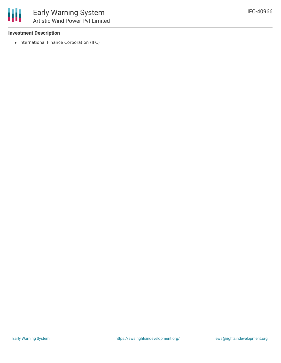

### **Investment Description**

• International Finance Corporation (IFC)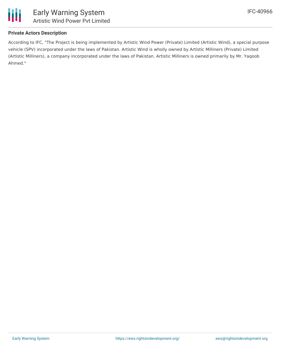

### **Private Actors Description**

According to IFC, "The Project is being implemented by Artistic Wind Power (Private) Limited (Artistic Wind), a special purpose vehicle (SPV) incorporated under the laws of Pakistan. Artistic Wind is wholly owned by Artistic Milliners (Private) Limited (Artistic Milliners), a company incorporated under the laws of Pakistan. Artistic Milliners is owned primarily by Mr. Yaqoob Ahmed."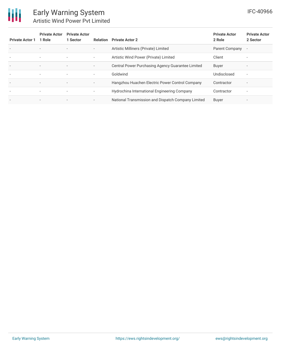# 冊

### Early Warning System Artistic Wind Power Pvt Limited

| <b>Private Actor 1</b>   | <b>Private Actor</b><br>1 Role | <b>Private Actor</b><br>1 Sector | Relation                 | <b>Private Actor 2</b>                             | <b>Private Actor</b><br>2 Role | <b>Private Actor</b><br>2 Sector |
|--------------------------|--------------------------------|----------------------------------|--------------------------|----------------------------------------------------|--------------------------------|----------------------------------|
| $\overline{\phantom{a}}$ | $\overline{\phantom{a}}$       |                                  | $\overline{\phantom{a}}$ | Artistic Milliners (Private) Limited               | Parent Company                 | $\overline{\phantom{a}}$         |
| $\overline{\phantom{a}}$ | $\overline{\phantom{a}}$       | $\overline{\phantom{a}}$         | $\overline{\phantom{a}}$ | Artistic Wind Power (Private) Limited              | Client                         | $\overline{\phantom{a}}$         |
| $\overline{\phantom{a}}$ | $\overline{\phantom{a}}$       | $\overline{\phantom{a}}$         | $\overline{\phantom{a}}$ | Central Power Purchasing Agency Guarantee Limited  | <b>Buyer</b>                   | $\overline{\phantom{0}}$         |
| $\overline{\phantom{a}}$ | ۰.                             | $\overline{\phantom{a}}$         | ٠.                       | Goldwind                                           | Undisclosed                    | $\overline{\phantom{a}}$         |
| $\overline{\phantom{a}}$ | $\overline{\phantom{a}}$       | $\overline{\phantom{a}}$         | $\overline{\phantom{a}}$ | Hangzhou Huachen Electric Power Control Company    | Contractor                     | $\overline{\phantom{a}}$         |
| $\overline{\phantom{a}}$ | $\overline{\phantom{a}}$       | $\overline{\phantom{a}}$         | ٠                        | Hydrochina International Engineering Company       | Contractor                     | $\overline{\phantom{a}}$         |
| ٠                        |                                |                                  | $\overline{\phantom{a}}$ | National Transmission and Dispatch Company Limited | Buyer                          |                                  |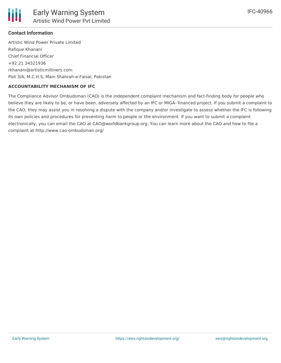

### **Contact Information**

Artistic Wind Power Private Limited Rafique Khanani Chief Financial Officer +92 21 34321936 rkhanani@artisticmilliners.com Plot 3/A, M.C.H.S, Main Shahrah-e-Faisal, Pakistan

### **ACCOUNTABILITY MECHANISM OF IFC**

The Compliance Advisor Ombudsman (CAO) is the independent complaint mechanism and fact-finding body for people who believe they are likely to be, or have been, adversely affected by an IFC or MIGA- financed project. If you submit a complaint to the CAO, they may assist you in resolving a dispute with the company and/or investigate to assess whether the IFC is following its own policies and procedures for preventing harm to people or the environment. If you want to submit a complaint electronically, you can email the CAO at CAO@worldbankgroup.org. You can learn more about the CAO and how to file a complaint at http://www.cao-ombudsman.org/